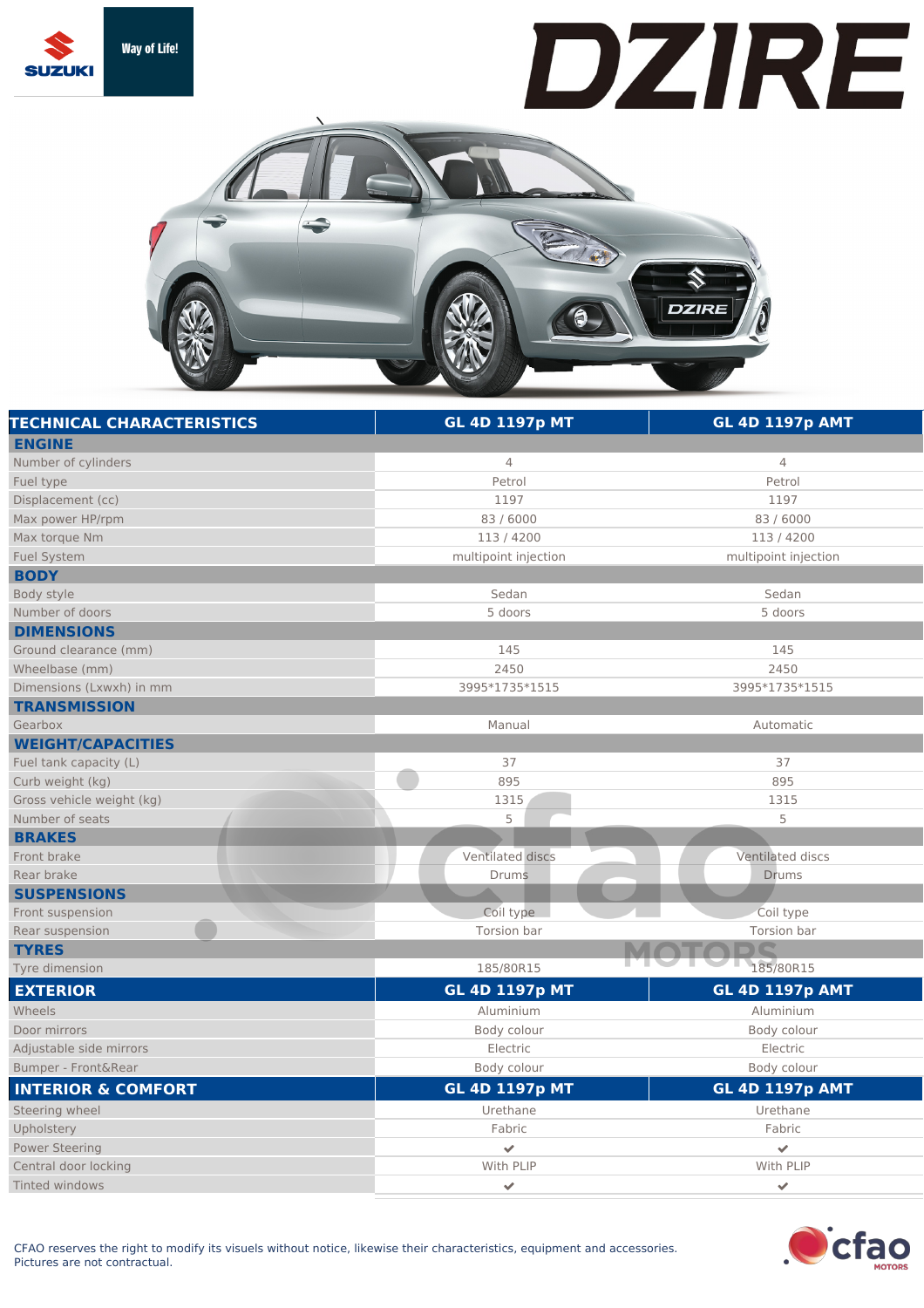

## DZIRE



| <b>TECHNICAL CHARACTERISTICS</b> | <b>GL 4D 1197p MT</b>   | <b>GL 4D 1197p AMT</b> |
|----------------------------------|-------------------------|------------------------|
| <b>ENGINE</b>                    |                         |                        |
| Number of cylinders              | $\overline{4}$          | $\overline{4}$         |
| Fuel type                        | Petrol                  | Petrol                 |
| Displacement (cc)                | 1197                    | 1197                   |
| Max power HP/rpm                 | 83 / 6000               | 83/6000                |
| Max torque Nm                    | 113/4200                | 113/4200               |
| Fuel System                      | multipoint injection    | multipoint injection   |
| <b>BODY</b>                      |                         |                        |
| Body style                       | Sedan                   | Sedan                  |
| Number of doors                  | 5 doors                 | 5 doors                |
| <b>DIMENSIONS</b>                |                         |                        |
| Ground clearance (mm)            | 145                     | 145                    |
| Wheelbase (mm)                   | 2450                    | 2450                   |
| Dimensions (Lxwxh) in mm         | 3995*1735*1515          | 3995*1735*1515         |
| <b>TRANSMISSION</b>              |                         |                        |
| Gearbox                          | Manual                  | Automatic              |
| <b>WEIGHT/CAPACITIES</b>         |                         |                        |
| Fuel tank capacity (L)           | 37                      | 37                     |
| Curb weight (kg)                 | 895                     | 895                    |
| Gross vehicle weight (kg)        | 1315                    | 1315                   |
| Number of seats                  | 5                       | 5                      |
| <b>BRAKES</b>                    |                         |                        |
| Front brake                      | Ventilated discs        | Ventilated discs       |
| Rear brake                       | Drums                   | Drums                  |
| <b>SUSPENSIONS</b>               |                         |                        |
| Front suspension                 | Coil type               | Coil type              |
| Rear suspension                  | Torsion bar             | Torsion bar            |
| <b>TYRES</b>                     |                         |                        |
| Tyre dimension                   | 185/80R15               | 185/80R15              |
| <b>EXTERIOR</b>                  | <b>GL 4D 1197p MT</b>   | <b>GL 4D 1197p AMT</b> |
| Wheels                           | Aluminium               | Aluminium              |
| Door mirrors                     | Body colour             | Body colour            |
| Adjustable side mirrors          | Electric                | Electric               |
| Bumper - Front&Rear              | Body colour             | Body colour            |
| <b>INTERIOR &amp; COMFORT</b>    | <b>GL 4D 1197p MT</b>   | <b>GL 4D 1197p AMT</b> |
| Steering wheel                   | Urethane                | Urethane               |
| Upholstery                       | Fabric                  | Fabric                 |
| <b>Power Steering</b>            | $\overline{\mathbf{v}}$ | $\checkmark$           |
| Central door locking             | With PLIP               | With PLIP              |
| Tinted windows                   | ✔                       | ✔                      |
|                                  |                         |                        |